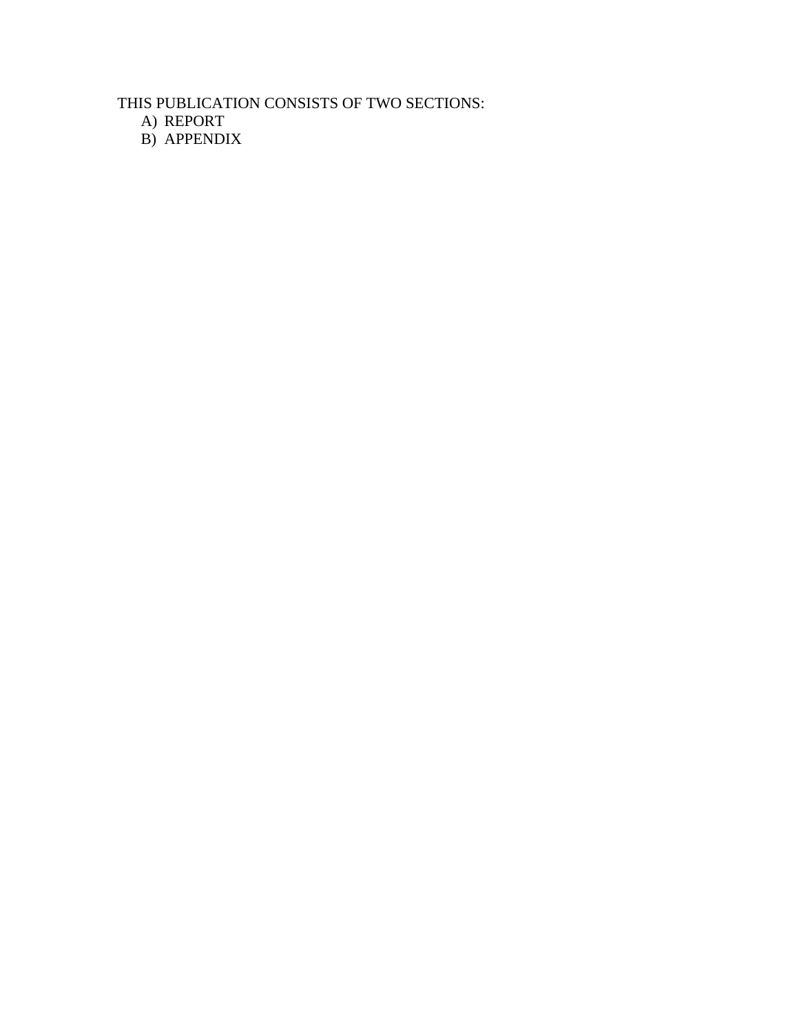THIS PUBLICATION CONSISTS OF TWO SECTIONS:

A) REPORT

B) APPENDIX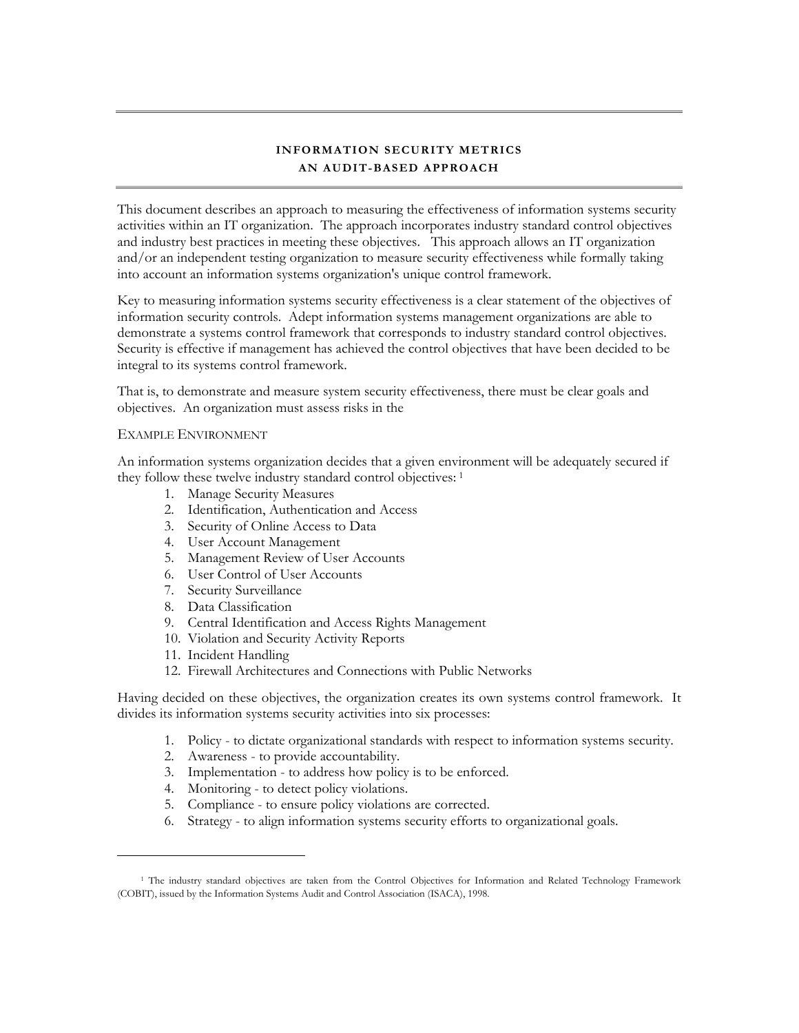# **INFORMATION SECURITY METRICS AN AUDIT-BASED APPROACH**

This document describes an approach to measuring the effectiveness of information systems security activities within an IT organization. The approach incorporates industry standard control objectives and industry best practices in meeting these objectives. This approach allows an IT organization and/or an independent testing organization to measure security effectiveness while formally taking into account an information systems organization's unique control framework.

Key to measuring information systems security effectiveness is a clear statement of the objectives of information security controls. Adept information systems management organizations are able to demonstrate a systems control framework that corresponds to industry standard control objectives. Security is effective if management has achieved the control objectives that have been decided to be integral to its systems control framework.

That is, to demonstrate and measure system security effectiveness, there must be clear goals and objectives. An organization must assess risks in the

#### EXAMPLE ENVIRONMENT

An information systems organization decides that a given environment will be adequately secured if they follow these twelve industry standard control objectives: [1](#page-1-0)

- 1. Manage Security Measures
- 2. Identification, Authentication and Access
- 3. Security of Online Access to Data
- 4. User Account Management
- 5. Management Review of User Accounts
- 6. User Control of User Accounts
- 7. Security Surveillance
- 8. Data Classification
- 9. Central Identification and Access Rights Management
- 10. Violation and Security Activity Reports
- 11. Incident Handling

 $\overline{a}$ 

12. Firewall Architectures and Connections with Public Networks

Having decided on these objectives, the organization creates its own systems control framework. It divides its information systems security activities into six processes:

- 1. Policy to dictate organizational standards with respect to information systems security.
- 2. Awareness to provide accountability.
- 3. Implementation to address how policy is to be enforced.
- 4. Monitoring to detect policy violations.
- 5. Compliance to ensure policy violations are corrected.
- 6. Strategy to align information systems security efforts to organizational goals.

<span id="page-1-0"></span><sup>&</sup>lt;sup>1</sup> The industry standard objectives are taken from the Control Objectives for Information and Related Technology Framework (COBIT), issued by the Information Systems Audit and Control Association (ISACA), 1998.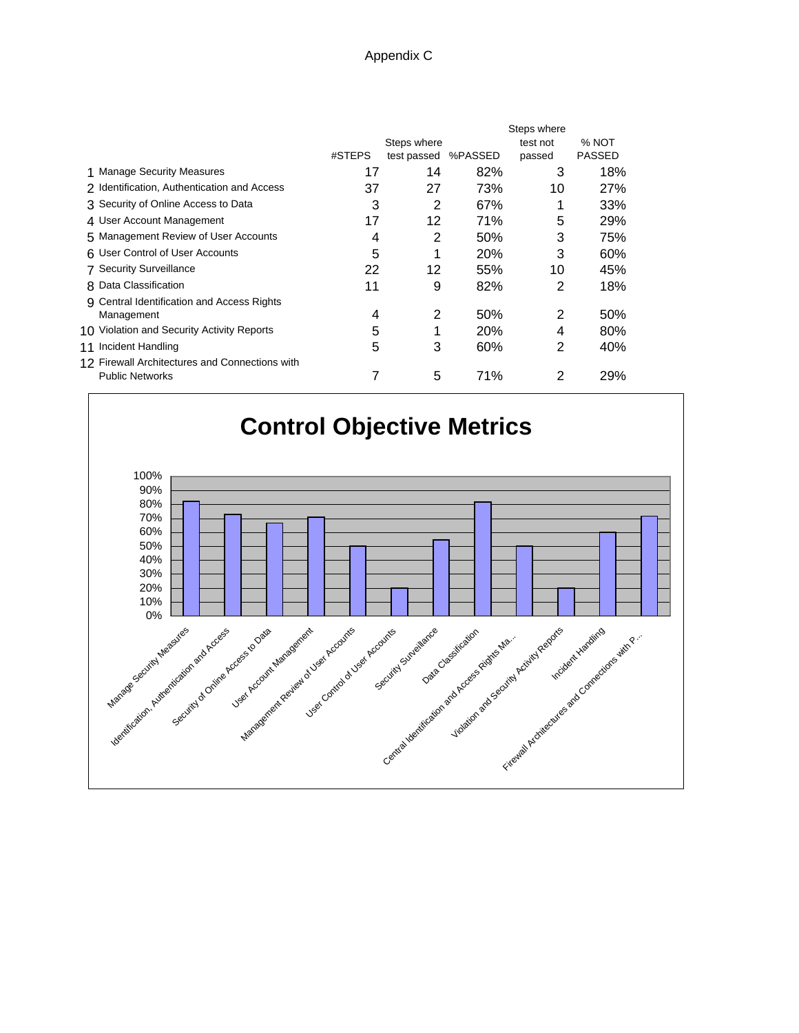#### Appendix C

|                                                |        |                     |            | Steps where |        |
|------------------------------------------------|--------|---------------------|------------|-------------|--------|
|                                                |        | Steps where         |            | test not    | % NOT  |
|                                                | #STEPS | test passed %PASSED |            | passed      | PASSED |
| 1 Manage Security Measures                     | 17     | 14                  | 82%        | 3           | 18%    |
| 2 Identification, Authentication and Access    | 37     | 27                  | 73%        | 10          | 27%    |
| 3 Security of Online Access to Data            | 3      | 2                   | 67%        |             | 33%    |
| 4 User Account Management                      | 17     | 12                  | 71%        | 5           | 29%    |
| 5 Management Review of User Accounts           | 4      | 2                   | 50%        | 3           | 75%    |
| 6 User Control of User Accounts                | 5      | 1                   | <b>20%</b> | 3           | 60%    |
| <b>7 Security Surveillance</b>                 | 22     | 12                  | 55%        | 10          | 45%    |
| 8 Data Classification                          | 11     | 9                   | 82%        | 2           | 18%    |
| 9 Central Identification and Access Rights     |        |                     |            |             |        |
| Management                                     | 4      | 2                   | 50%        | 2           | 50%    |
| 10 Violation and Security Activity Reports     | 5      | 1                   | <b>20%</b> | 4           | 80%    |
| 11 Incident Handling                           | 5      | 3                   | 60%        | 2           | 40%    |
| 12 Firewall Architectures and Connections with |        |                     |            |             |        |
| <b>Public Networks</b>                         | 7      | 5                   | 71%        | 2           | 29%    |
|                                                |        |                     |            |             |        |

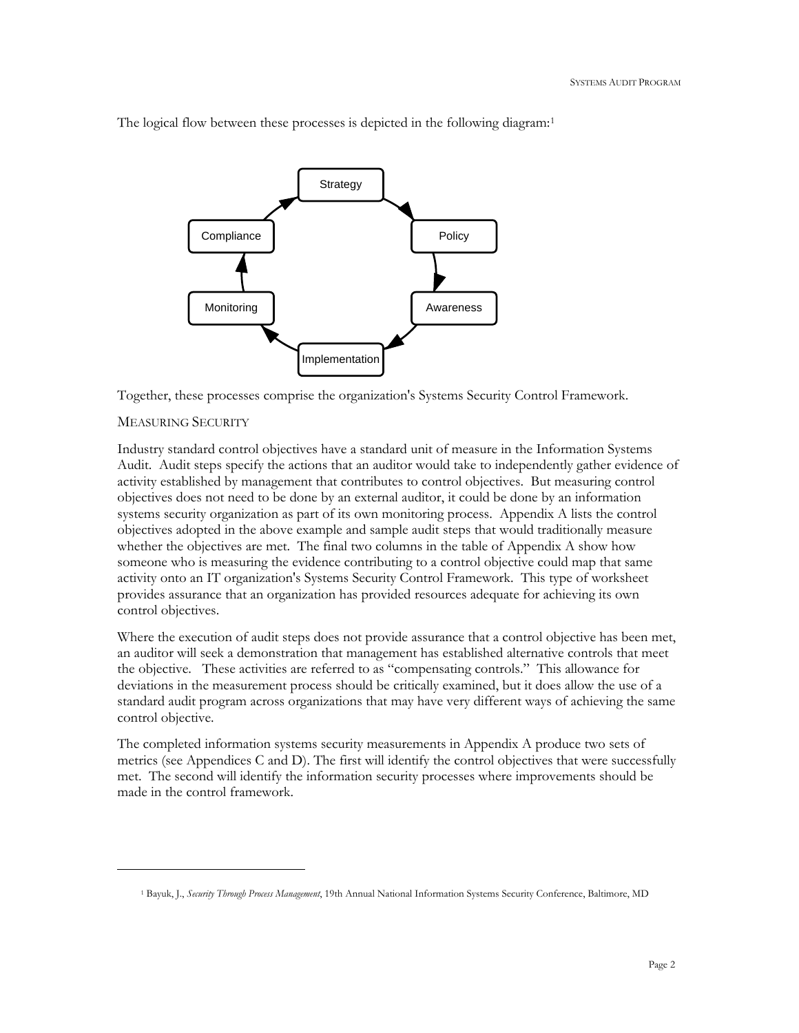

The logical flow between these processes is depicted in the following diagram:<sup>[1](#page-3-0)</sup>

Together, these processes comprise the organization's Systems Security Control Framework.

#### MEASURING SECURITY

 $\overline{a}$ 

Industry standard control objectives have a standard unit of measure in the Information Systems Audit. Audit steps specify the actions that an auditor would take to independently gather evidence of activity established by management that contributes to control objectives. But measuring control objectives does not need to be done by an external auditor, it could be done by an information systems security organization as part of its own monitoring process. Appendix A lists the control objectives adopted in the above example and sample audit steps that would traditionally measure whether the objectives are met. The final two columns in the table of Appendix A show how someone who is measuring the evidence contributing to a control objective could map that same activity onto an IT organization's Systems Security Control Framework. This type of worksheet provides assurance that an organization has provided resources adequate for achieving its own control objectives.

Where the execution of audit steps does not provide assurance that a control objective has been met, an auditor will seek a demonstration that management has established alternative controls that meet the objective. These activities are referred to as "compensating controls." This allowance for deviations in the measurement process should be critically examined, but it does allow the use of a standard audit program across organizations that may have very different ways of achieving the same control objective.

The completed information systems security measurements in Appendix A produce two sets of metrics (see Appendices C and D). The first will identify the control objectives that were successfully met. The second will identify the information security processes where improvements should be made in the control framework.

<span id="page-3-0"></span><sup>1</sup> Bayuk, J., *Security Through Process Management*, 19th Annual National Information Systems Security Conference, Baltimore, MD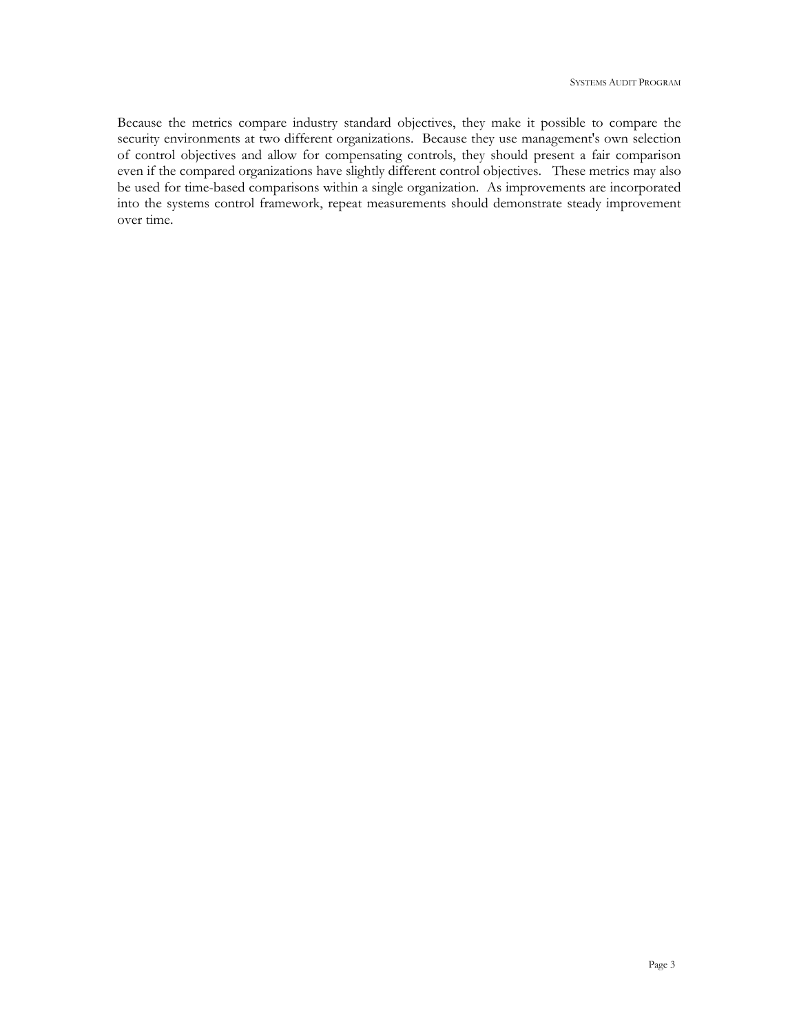Because the metrics compare industry standard objectives, they make it possible to compare the security environments at two different organizations. Because they use management's own selection of control objectives and allow for compensating controls, they should present a fair comparison even if the compared organizations have slightly different control objectives. These metrics may also be used for time-based comparisons within a single organization. As improvements are incorporated into the systems control framework, repeat measurements should demonstrate steady improvement over time.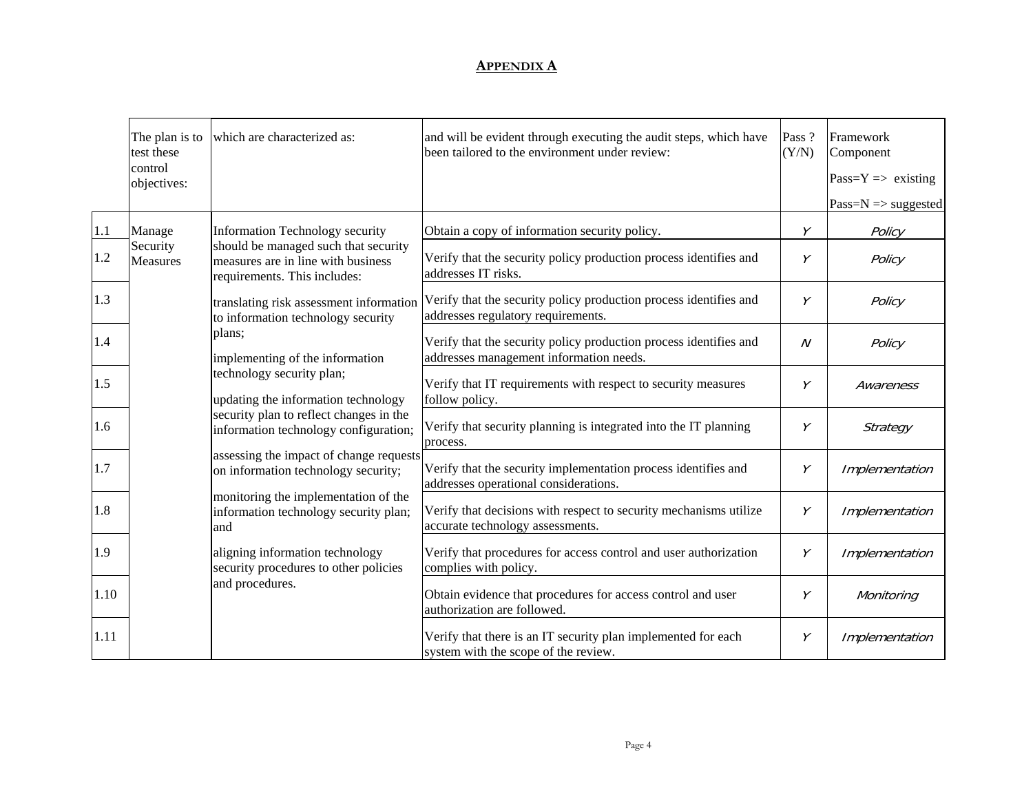|      | The plan is to<br>test these<br>control<br>objectives: | which are characterized as:                                                                                                                                                         | and will be evident through executing the audit steps, which have<br>been tailored to the environment under review: | Pass ?<br>(Y/N) | Framework<br>Component<br>$Pass=Y \Rightarrow existing$ |
|------|--------------------------------------------------------|-------------------------------------------------------------------------------------------------------------------------------------------------------------------------------------|---------------------------------------------------------------------------------------------------------------------|-----------------|---------------------------------------------------------|
|      |                                                        |                                                                                                                                                                                     |                                                                                                                     |                 | Pass= $N \Rightarrow$ suggested                         |
| 1.1  | Manage                                                 | <b>Information Technology security</b>                                                                                                                                              | Obtain a copy of information security policy.                                                                       | Υ               | Policy                                                  |
| 1.2  | Security<br>Measures                                   | should be managed such that security<br>measures are in line with business<br>requirements. This includes:                                                                          | Verify that the security policy production process identifies and<br>addresses IT risks.                            | Υ               | Policy                                                  |
| 1.3  |                                                        | translating risk assessment information<br>to information technology security                                                                                                       | Verify that the security policy production process identifies and<br>addresses regulatory requirements.             | Υ               | Policy                                                  |
| 1.4  |                                                        | plans;<br>implementing of the information                                                                                                                                           | Verify that the security policy production process identifies and<br>addresses management information needs.        | $\overline{N}$  | Policy                                                  |
| 1.5  |                                                        | technology security plan;<br>updating the information technology<br>security plan to reflect changes in the<br>information technology configuration;                                | Verify that IT requirements with respect to security measures<br>follow policy.                                     | Υ               | Awareness                                               |
| 1.6  |                                                        |                                                                                                                                                                                     | Verify that security planning is integrated into the IT planning<br>process.                                        | Υ               | Strategy                                                |
| 1.7  |                                                        | assessing the impact of change requests<br>on information technology security;                                                                                                      | Verify that the security implementation process identifies and<br>addresses operational considerations.             | Υ               | Implementation                                          |
| 1.8  |                                                        | monitoring the implementation of the<br>information technology security plan;<br>and<br>aligning information technology<br>security procedures to other policies<br>and procedures. | Verify that decisions with respect to security mechanisms utilize<br>accurate technology assessments.               | Υ               | Implementation                                          |
| 1.9  |                                                        |                                                                                                                                                                                     | Verify that procedures for access control and user authorization<br>complies with policy.                           | Υ               | Implementation                                          |
| 1.10 |                                                        |                                                                                                                                                                                     | Obtain evidence that procedures for access control and user<br>authorization are followed.                          | Υ               | Monitoring                                              |
| 1.11 |                                                        |                                                                                                                                                                                     | Verify that there is an IT security plan implemented for each<br>system with the scope of the review.               | Υ               | Implementation                                          |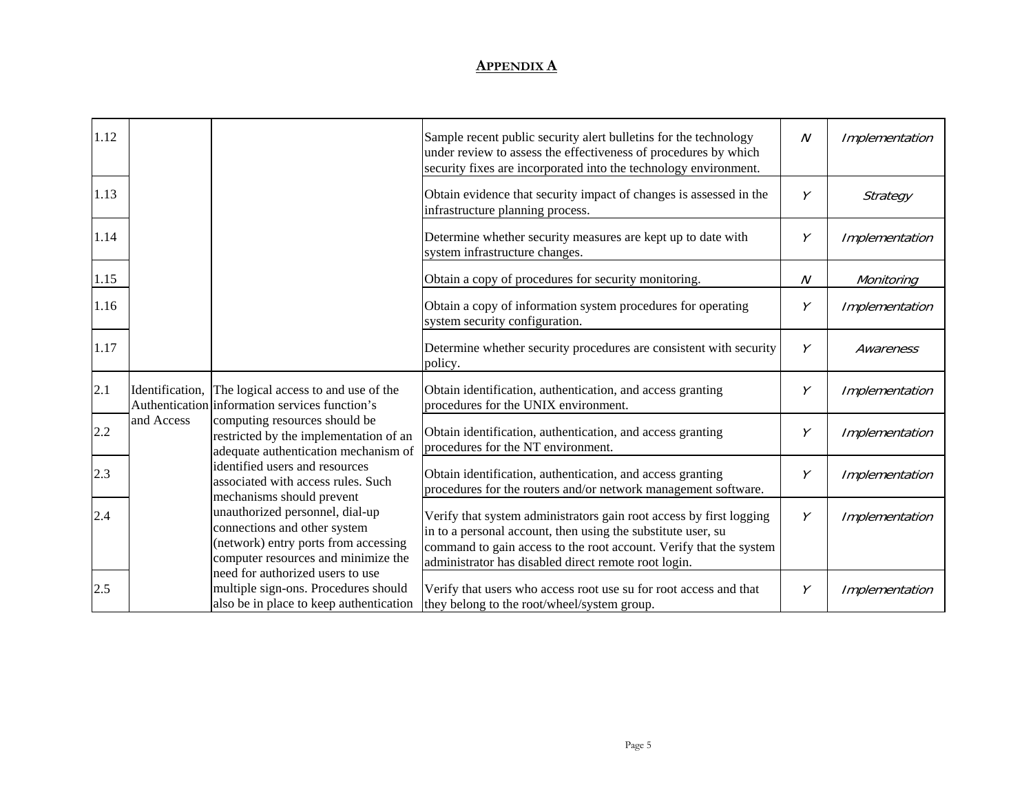| 1.12 |                 |                                                                                                                                                                             | Sample recent public security alert bulletins for the technology<br>under review to assess the effectiveness of procedures by which<br>security fixes are incorporated into the technology environment.                                                           | N | Implementation |
|------|-----------------|-----------------------------------------------------------------------------------------------------------------------------------------------------------------------------|-------------------------------------------------------------------------------------------------------------------------------------------------------------------------------------------------------------------------------------------------------------------|---|----------------|
| 1.13 |                 |                                                                                                                                                                             | Obtain evidence that security impact of changes is assessed in the<br>infrastructure planning process.                                                                                                                                                            | Y | Strategy       |
| 1.14 |                 |                                                                                                                                                                             | Determine whether security measures are kept up to date with<br>system infrastructure changes.                                                                                                                                                                    | Υ | Implementation |
| 1.15 |                 |                                                                                                                                                                             | Obtain a copy of procedures for security monitoring.                                                                                                                                                                                                              | N | Monitoring     |
| 1.16 |                 |                                                                                                                                                                             | Obtain a copy of information system procedures for operating<br>system security configuration.                                                                                                                                                                    | Y | Implementation |
| 1.17 |                 |                                                                                                                                                                             | Determine whether security procedures are consistent with security<br>policy.                                                                                                                                                                                     | Υ | Awareness      |
| 2.1  | Identification, | The logical access to and use of the<br>Authentication information services function's                                                                                      | Obtain identification, authentication, and access granting<br>procedures for the UNIX environment.                                                                                                                                                                | Υ | Implementation |
| 2.2  | and Access      | computing resources should be<br>restricted by the implementation of an<br>adequate authentication mechanism of                                                             | Obtain identification, authentication, and access granting<br>procedures for the NT environment.                                                                                                                                                                  | Υ | Implementation |
| 2.3  |                 | identified users and resources<br>associated with access rules. Such                                                                                                        | Obtain identification, authentication, and access granting<br>procedures for the routers and/or network management software.                                                                                                                                      | Υ | Implementation |
| 2.4  |                 | mechanisms should prevent<br>unauthorized personnel, dial-up<br>connections and other system<br>(network) entry ports from accessing<br>computer resources and minimize the | Verify that system administrators gain root access by first logging<br>in to a personal account, then using the substitute user, su<br>command to gain access to the root account. Verify that the system<br>administrator has disabled direct remote root login. | Υ | Implementation |
| 2.5  |                 | need for authorized users to use<br>multiple sign-ons. Procedures should<br>also be in place to keep authentication                                                         | Verify that users who access root use su for root access and that<br>they belong to the root/wheel/system group.                                                                                                                                                  | Υ | Implementation |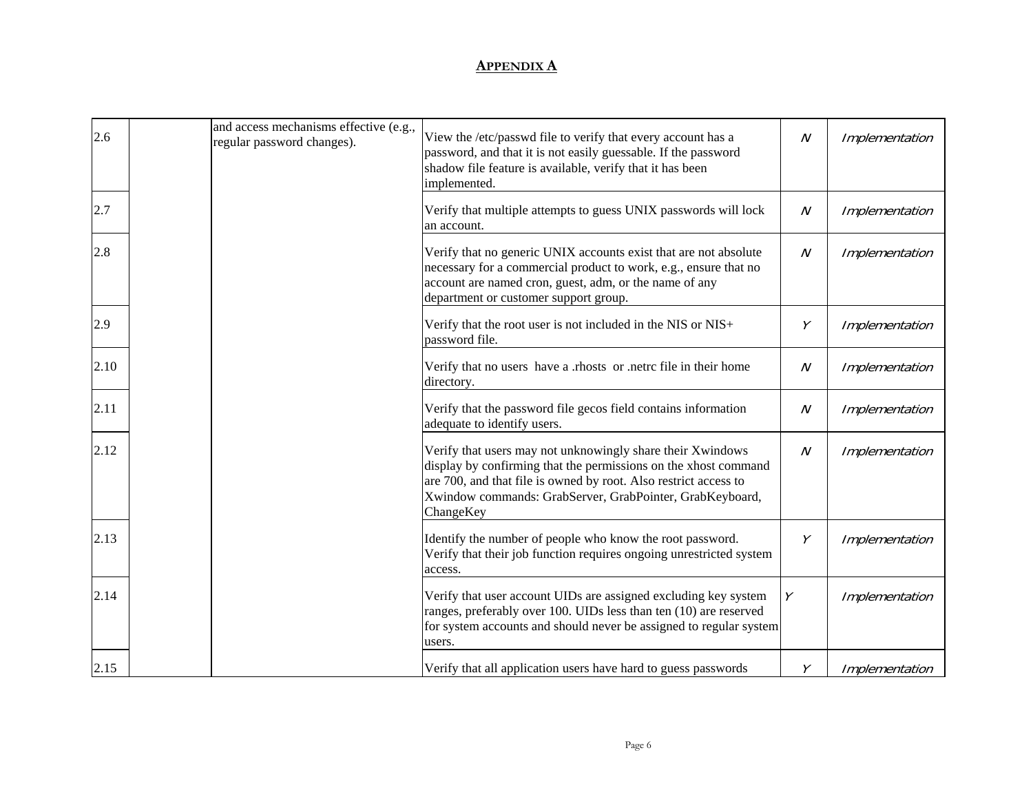| 2.6  | and access mechanisms effective (e.g.,<br>regular password changes). | View the /etc/passwd file to verify that every account has a<br>password, and that it is not easily guessable. If the password<br>shadow file feature is available, verify that it has been<br>implemented.                                                                | $\mathcal N$ | Implementation |
|------|----------------------------------------------------------------------|----------------------------------------------------------------------------------------------------------------------------------------------------------------------------------------------------------------------------------------------------------------------------|--------------|----------------|
| 2.7  |                                                                      | Verify that multiple attempts to guess UNIX passwords will lock<br>an account.                                                                                                                                                                                             | $\cal N$     | Implementation |
| 2.8  |                                                                      | Verify that no generic UNIX accounts exist that are not absolute<br>necessary for a commercial product to work, e.g., ensure that no<br>account are named cron, guest, adm, or the name of any<br>department or customer support group.                                    | $\mathcal N$ | Implementation |
| 2.9  |                                                                      | Verify that the root user is not included in the NIS or NIS+<br>password file.                                                                                                                                                                                             | Υ            | Implementation |
| 2.10 |                                                                      | Verify that no users have a .rhosts or .netrc file in their home<br>directory.                                                                                                                                                                                             | $\mathcal N$ | Implementation |
| 2.11 |                                                                      | Verify that the password file gecos field contains information<br>adequate to identify users.                                                                                                                                                                              | $\mathcal N$ | Implementation |
| 2.12 |                                                                      | Verify that users may not unknowingly share their Xwindows<br>display by confirming that the permissions on the xhost command<br>are 700, and that file is owned by root. Also restrict access to<br>Xwindow commands: GrabServer, GrabPointer, GrabKeyboard,<br>ChangeKey | $\mathcal N$ | Implementation |
| 2.13 |                                                                      | Identify the number of people who know the root password.<br>Verify that their job function requires ongoing unrestricted system<br>access.                                                                                                                                | Y            | Implementation |
| 2.14 |                                                                      | Verify that user account UIDs are assigned excluding key system<br>ranges, preferably over 100. UIDs less than ten (10) are reserved<br>for system accounts and should never be assigned to regular system<br>users.                                                       | Υ            | Implementation |
| 2.15 |                                                                      | Verify that all application users have hard to guess passwords                                                                                                                                                                                                             | Υ            | Implementation |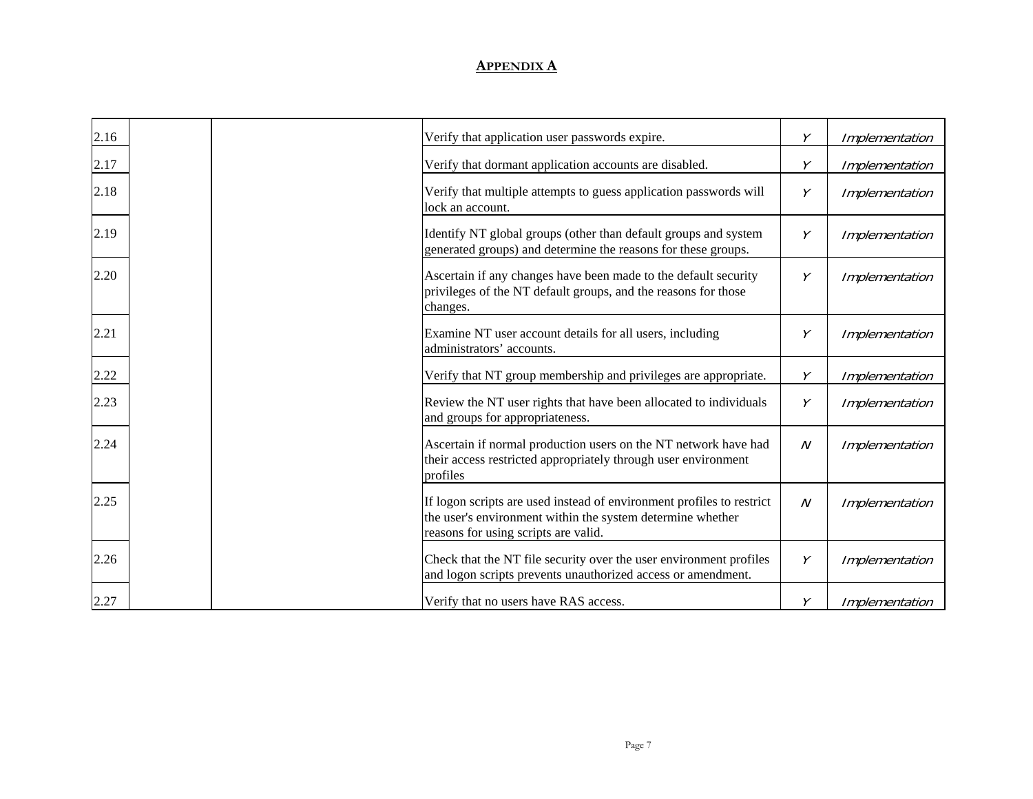| 2.16 | Verify that application user passwords expire.                                                                                                                              | Y            | Implementation |
|------|-----------------------------------------------------------------------------------------------------------------------------------------------------------------------------|--------------|----------------|
| 2.17 | Verify that dormant application accounts are disabled.                                                                                                                      | Y            | Implementation |
| 2.18 | Verify that multiple attempts to guess application passwords will<br>lock an account.                                                                                       | Υ            | Implementation |
| 2.19 | Identify NT global groups (other than default groups and system<br>generated groups) and determine the reasons for these groups.                                            | Υ            | Implementation |
| 2.20 | Ascertain if any changes have been made to the default security<br>privileges of the NT default groups, and the reasons for those<br>changes.                               | Y            | Implementation |
| 2.21 | Examine NT user account details for all users, including<br>administrators' accounts.                                                                                       | Υ            | Implementation |
| 2.22 | Verify that NT group membership and privileges are appropriate.                                                                                                             | Υ            | Implementation |
| 2.23 | Review the NT user rights that have been allocated to individuals<br>and groups for appropriateness.                                                                        | Y            | Implementation |
| 2.24 | Ascertain if normal production users on the NT network have had<br>their access restricted appropriately through user environment<br>profiles                               | $\mathcal N$ | Implementation |
| 2.25 | If logon scripts are used instead of environment profiles to restrict<br>the user's environment within the system determine whether<br>reasons for using scripts are valid. | $\mathcal N$ | Implementation |
| 2.26 | Check that the NT file security over the user environment profiles<br>and logon scripts prevents unauthorized access or amendment.                                          | Y            | Implementation |
| 2.27 | Verify that no users have RAS access.                                                                                                                                       | Υ            | Implementation |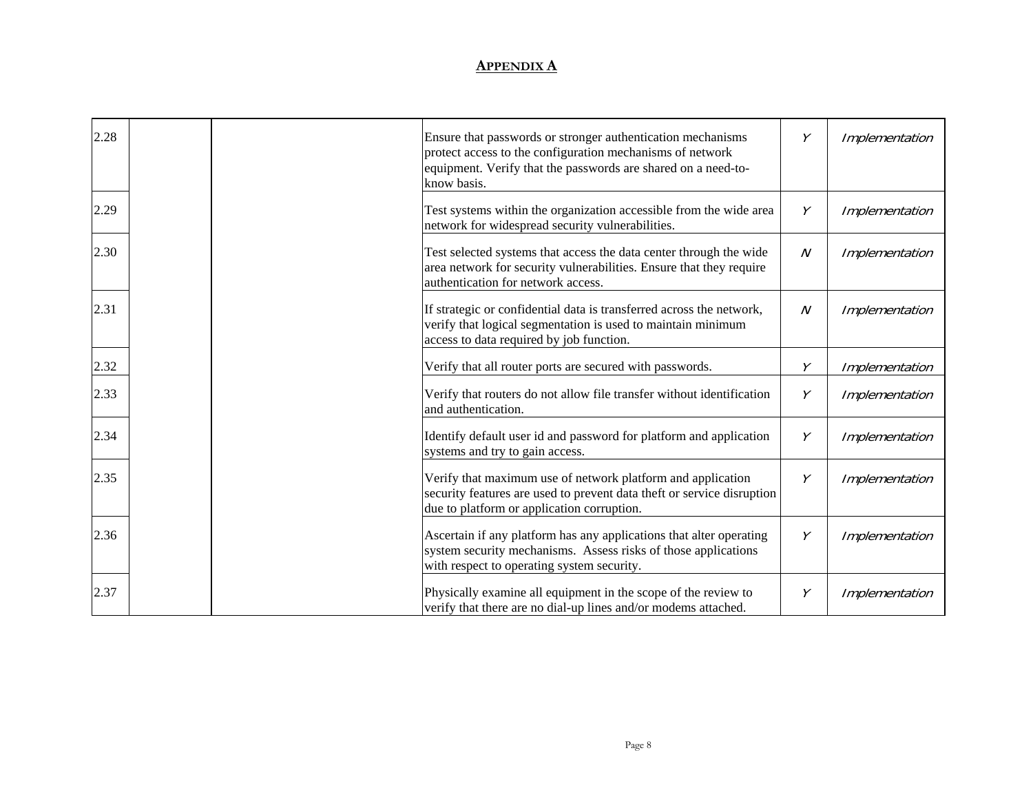| 2.28 | Ensure that passwords or stronger authentication mechanisms<br>protect access to the configuration mechanisms of network<br>equipment. Verify that the passwords are shared on a need-to- | Υ                | Implementation |
|------|-------------------------------------------------------------------------------------------------------------------------------------------------------------------------------------------|------------------|----------------|
| 2.29 | know basis.<br>Test systems within the organization accessible from the wide area<br>network for widespread security vulnerabilities.                                                     | Υ                | Implementation |
| 2.30 | Test selected systems that access the data center through the wide<br>area network for security vulnerabilities. Ensure that they require<br>authentication for network access.           | $\boldsymbol{N}$ | Implementation |
| 2.31 | If strategic or confidential data is transferred across the network,<br>verify that logical segmentation is used to maintain minimum<br>access to data required by job function.          | $\boldsymbol{N}$ | Implementation |
| 2.32 | Verify that all router ports are secured with passwords.                                                                                                                                  | γ                | Implementation |
| 2.33 | Verify that routers do not allow file transfer without identification<br>and authentication.                                                                                              | Υ                | Implementation |
| 2.34 | Identify default user id and password for platform and application<br>systems and try to gain access.                                                                                     | Υ                | Implementation |
| 2.35 | Verify that maximum use of network platform and application<br>security features are used to prevent data theft or service disruption<br>due to platform or application corruption.       | Υ                | Implementation |
| 2.36 | Ascertain if any platform has any applications that alter operating<br>system security mechanisms. Assess risks of those applications<br>with respect to operating system security.       | Υ                | Implementation |
| 2.37 | Physically examine all equipment in the scope of the review to<br>verify that there are no dial-up lines and/or modems attached.                                                          | Υ                | Implementation |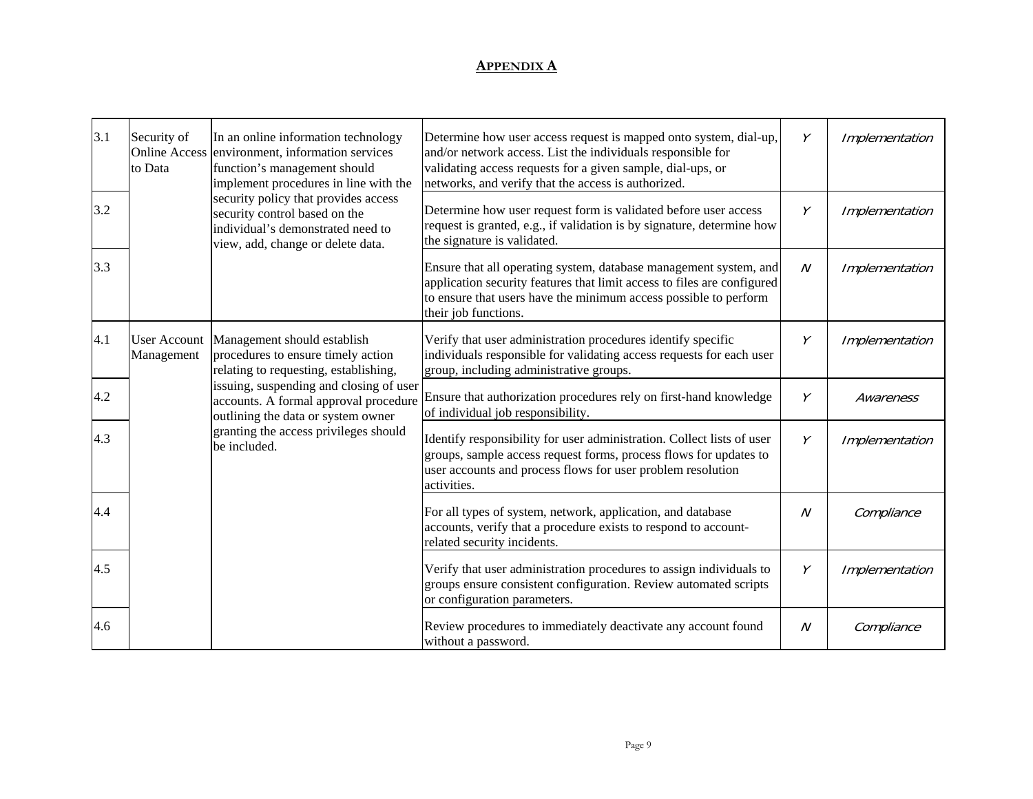| 3.1 | Security of<br><b>Online Access</b><br>to Data | In an online information technology<br>environment, information services<br>function's management should<br>implement procedures in line with the                       | Determine how user access request is mapped onto system, dial-up,<br>and/or network access. List the individuals responsible for<br>validating access requests for a given sample, dial-ups, or<br>networks, and verify that the access is authorized. | Υ              | Implementation |
|-----|------------------------------------------------|-------------------------------------------------------------------------------------------------------------------------------------------------------------------------|--------------------------------------------------------------------------------------------------------------------------------------------------------------------------------------------------------------------------------------------------------|----------------|----------------|
| 3.2 |                                                | security policy that provides access<br>security control based on the<br>individual's demonstrated need to<br>view, add, change or delete data.                         | Determine how user request form is validated before user access<br>request is granted, e.g., if validation is by signature, determine how<br>the signature is validated.                                                                               | Y              | Implementation |
| 3.3 |                                                |                                                                                                                                                                         | Ensure that all operating system, database management system, and<br>application security features that limit access to files are configured<br>to ensure that users have the minimum access possible to perform<br>their job functions.               | $\cal N$       | Implementation |
| 4.1 | <b>User Account</b><br>Management              | Management should establish<br>procedures to ensure timely action<br>relating to requesting, establishing,                                                              | Verify that user administration procedures identify specific<br>individuals responsible for validating access requests for each user<br>group, including administrative groups.                                                                        | Υ              | Implementation |
| 4.2 |                                                | issuing, suspending and closing of user<br>accounts. A formal approval procedure<br>outlining the data or system owner                                                  | Ensure that authorization procedures rely on first-hand knowledge<br>of individual job responsibility.                                                                                                                                                 | Υ              | Awareness      |
| 4.3 |                                                | granting the access privileges should<br>be included.                                                                                                                   | Identify responsibility for user administration. Collect lists of user<br>groups, sample access request forms, process flows for updates to<br>user accounts and process flows for user problem resolution<br>activities.                              | Υ              | Implementation |
| 4.4 |                                                |                                                                                                                                                                         | For all types of system, network, application, and database<br>accounts, verify that a procedure exists to respond to account-<br>related security incidents.                                                                                          | N              | Compliance     |
| 4.5 |                                                | Verify that user administration procedures to assign individuals to<br>groups ensure consistent configuration. Review automated scripts<br>or configuration parameters. | Υ                                                                                                                                                                                                                                                      | Implementation |                |
| 4.6 |                                                |                                                                                                                                                                         | Review procedures to immediately deactivate any account found<br>without a password.                                                                                                                                                                   | N              | Compliance     |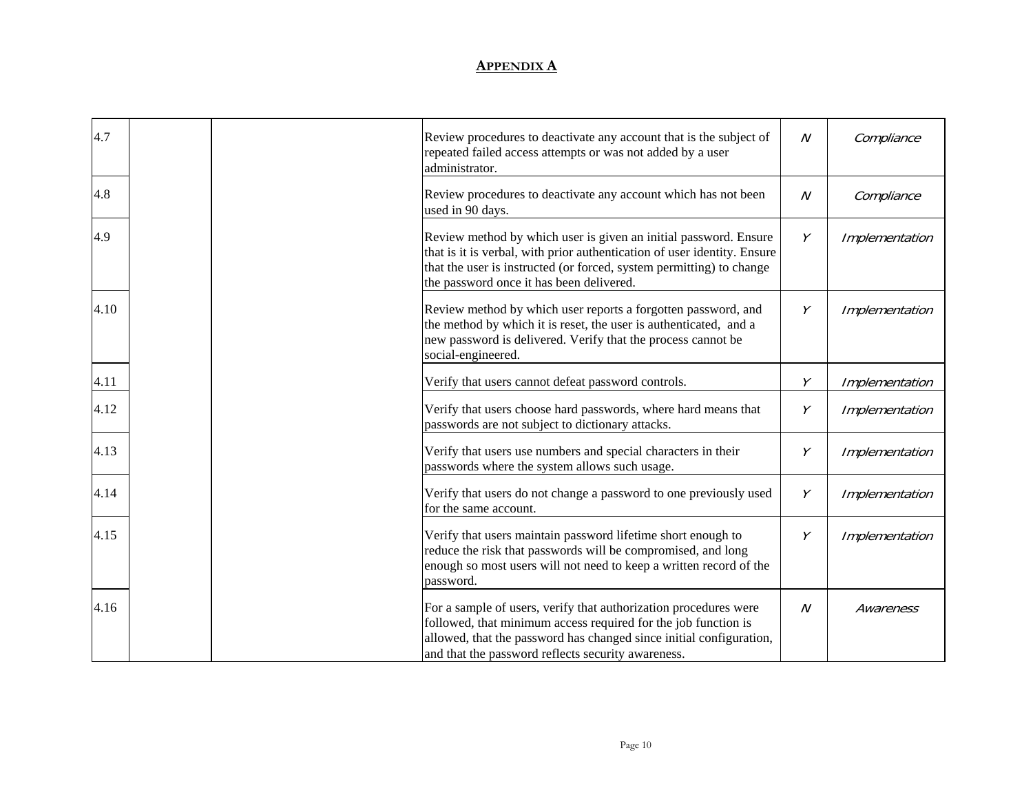| 4.7  | Review procedures to deactivate any account that is the subject of<br>repeated failed access attempts or was not added by a user<br>administrator.                                                                                                               | $\boldsymbol{N}$ | Compliance     |
|------|------------------------------------------------------------------------------------------------------------------------------------------------------------------------------------------------------------------------------------------------------------------|------------------|----------------|
| 4.8  | Review procedures to deactivate any account which has not been<br>used in 90 days.                                                                                                                                                                               | $\boldsymbol{N}$ | Compliance     |
| 4.9  | Review method by which user is given an initial password. Ensure<br>that is it is verbal, with prior authentication of user identity. Ensure<br>that the user is instructed (or forced, system permitting) to change<br>the password once it has been delivered. | Υ                | Implementation |
| 4.10 | Review method by which user reports a forgotten password, and<br>the method by which it is reset, the user is authenticated, and a<br>new password is delivered. Verify that the process cannot be<br>social-engineered.                                         | Y                | Implementation |
| 4.11 | Verify that users cannot defeat password controls.                                                                                                                                                                                                               | Y                | Implementation |
| 4.12 | Verify that users choose hard passwords, where hard means that<br>passwords are not subject to dictionary attacks.                                                                                                                                               | Υ                | Implementation |
| 4.13 | Verify that users use numbers and special characters in their<br>passwords where the system allows such usage.                                                                                                                                                   | Υ                | Implementation |
| 4.14 | Verify that users do not change a password to one previously used<br>for the same account.                                                                                                                                                                       | Υ                | Implementation |
| 4.15 | Verify that users maintain password lifetime short enough to<br>reduce the risk that passwords will be compromised, and long<br>enough so most users will not need to keep a written record of the<br>password.                                                  | Y                | Implementation |
| 4.16 | For a sample of users, verify that authorization procedures were<br>followed, that minimum access required for the job function is<br>allowed, that the password has changed since initial configuration,<br>and that the password reflects security awareness.  | $\boldsymbol{N}$ | Awareness      |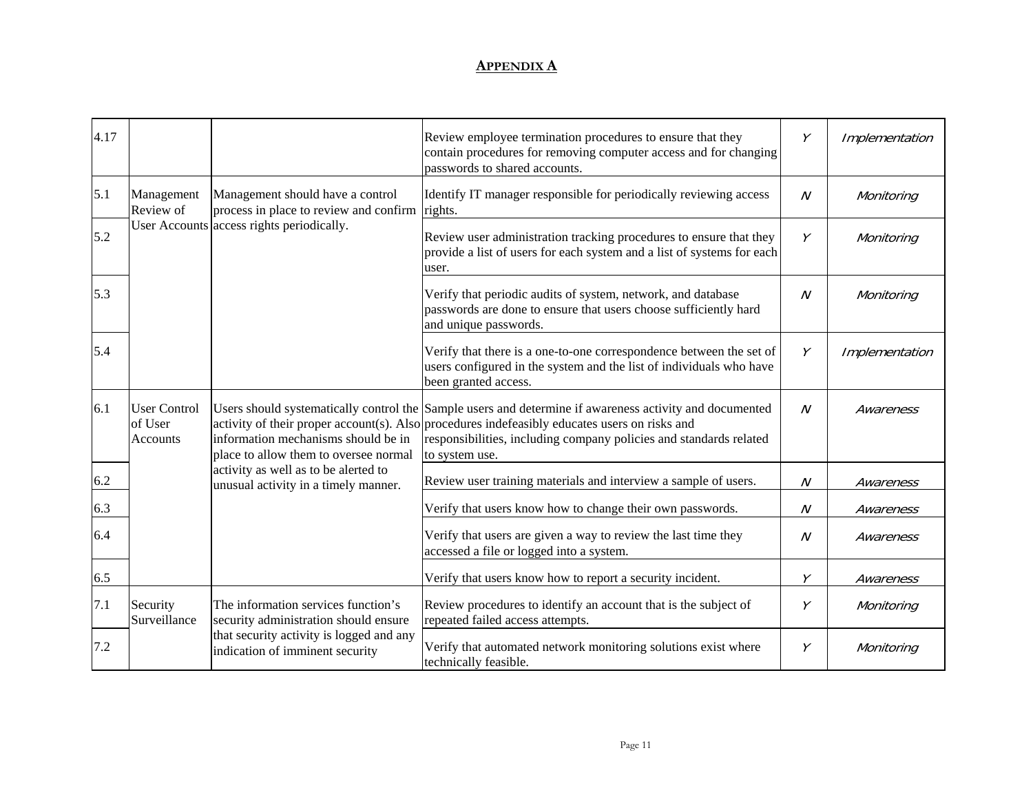| 4.17 |                                            |                                                                                                                                                             | Review employee termination procedures to ensure that they<br>contain procedures for removing computer access and for changing<br>passwords to shared accounts.                                                                                                                                  | Y              | Implementation |
|------|--------------------------------------------|-------------------------------------------------------------------------------------------------------------------------------------------------------------|--------------------------------------------------------------------------------------------------------------------------------------------------------------------------------------------------------------------------------------------------------------------------------------------------|----------------|----------------|
| 5.1  | Management<br>Review of                    | Management should have a control<br>process in place to review and confirm rights.                                                                          | Identify IT manager responsible for periodically reviewing access                                                                                                                                                                                                                                | $\mathcal N$   | Monitoring     |
| 5.2  |                                            | User Accounts access rights periodically.                                                                                                                   | Review user administration tracking procedures to ensure that they<br>provide a list of users for each system and a list of systems for each<br>user.                                                                                                                                            | Y              | Monitoring     |
| 5.3  |                                            |                                                                                                                                                             | Verify that periodic audits of system, network, and database<br>passwords are done to ensure that users choose sufficiently hard<br>and unique passwords.                                                                                                                                        | $\overline{N}$ | Monitoring     |
| 5.4  |                                            |                                                                                                                                                             | Verify that there is a one-to-one correspondence between the set of<br>users configured in the system and the list of individuals who have<br>been granted access.                                                                                                                               | Y              | Implementation |
| 6.1  | <b>User Control</b><br>of User<br>Accounts | information mechanisms should be in<br>place to allow them to oversee normal                                                                                | Users should systematically control the Sample users and determine if awareness activity and documented<br>activity of their proper account(s). Also procedures indefeasibly educates users on risks and<br>responsibilities, including company policies and standards related<br>to system use. | $\overline{N}$ | Awareness      |
| 6.2  |                                            | activity as well as to be alerted to<br>unusual activity in a timely manner.                                                                                | Review user training materials and interview a sample of users.                                                                                                                                                                                                                                  | $\overline{N}$ | Awareness      |
| 6.3  |                                            |                                                                                                                                                             | Verify that users know how to change their own passwords.                                                                                                                                                                                                                                        | $\overline{N}$ | Awareness      |
| 6.4  |                                            |                                                                                                                                                             | Verify that users are given a way to review the last time they<br>accessed a file or logged into a system.                                                                                                                                                                                       | $\overline{N}$ | Awareness      |
| 6.5  |                                            |                                                                                                                                                             | Verify that users know how to report a security incident.                                                                                                                                                                                                                                        | Y              | Awareness      |
| 7.1  | Security<br>Surveillance                   | The information services function's<br>security administration should ensure<br>that security activity is logged and any<br>indication of imminent security | Review procedures to identify an account that is the subject of<br>repeated failed access attempts.                                                                                                                                                                                              | Y              | Monitoring     |
| 7.2  |                                            |                                                                                                                                                             | Verify that automated network monitoring solutions exist where<br>technically feasible.                                                                                                                                                                                                          | Y              | Monitoring     |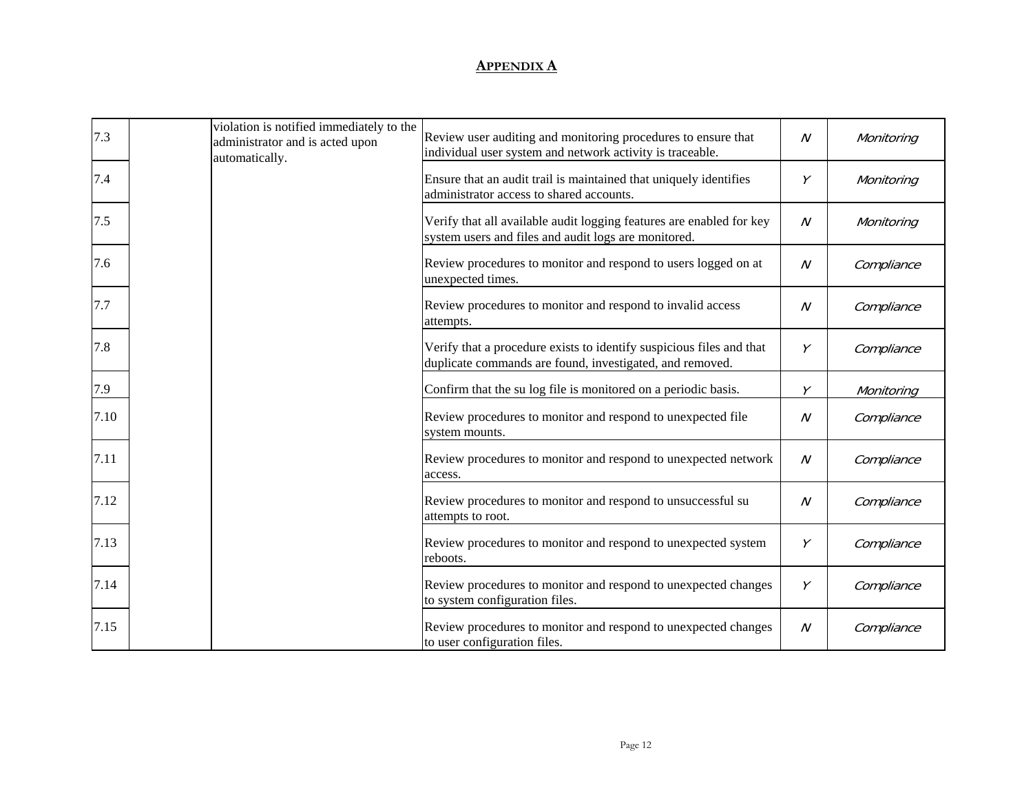| 7.3  | violation is notified immediately to the<br>administrator and is acted upon<br>automatically. | Review user auditing and monitoring procedures to ensure that<br>individual user system and network activity is traceable.       | N            | Monitoring |
|------|-----------------------------------------------------------------------------------------------|----------------------------------------------------------------------------------------------------------------------------------|--------------|------------|
| 7.4  |                                                                                               | Ensure that an audit trail is maintained that uniquely identifies<br>administrator access to shared accounts.                    | Υ            | Monitoring |
| 7.5  |                                                                                               | Verify that all available audit logging features are enabled for key<br>system users and files and audit logs are monitored.     | N            | Monitoring |
| 7.6  |                                                                                               | Review procedures to monitor and respond to users logged on at<br>unexpected times.                                              | N            | Compliance |
| 7.7  |                                                                                               | Review procedures to monitor and respond to invalid access<br>attempts.                                                          | N            | Compliance |
| 7.8  |                                                                                               | Verify that a procedure exists to identify suspicious files and that<br>duplicate commands are found, investigated, and removed. | Υ            | Compliance |
| 7.9  |                                                                                               | Confirm that the su log file is monitored on a periodic basis.                                                                   | Υ            | Monitoring |
| 7.10 |                                                                                               | Review procedures to monitor and respond to unexpected file<br>system mounts.                                                    | N            | Compliance |
| 7.11 |                                                                                               | Review procedures to monitor and respond to unexpected network<br>access.                                                        | $\cal N$     | Compliance |
| 7.12 |                                                                                               | Review procedures to monitor and respond to unsuccessful su<br>attempts to root.                                                 | $\mathcal N$ | Compliance |
| 7.13 |                                                                                               | Review procedures to monitor and respond to unexpected system<br>reboots.                                                        | Υ            | Compliance |
| 7.14 |                                                                                               | Review procedures to monitor and respond to unexpected changes<br>to system configuration files.                                 | Υ            | Compliance |
| 7.15 |                                                                                               | Review procedures to monitor and respond to unexpected changes<br>to user configuration files.                                   | N            | Compliance |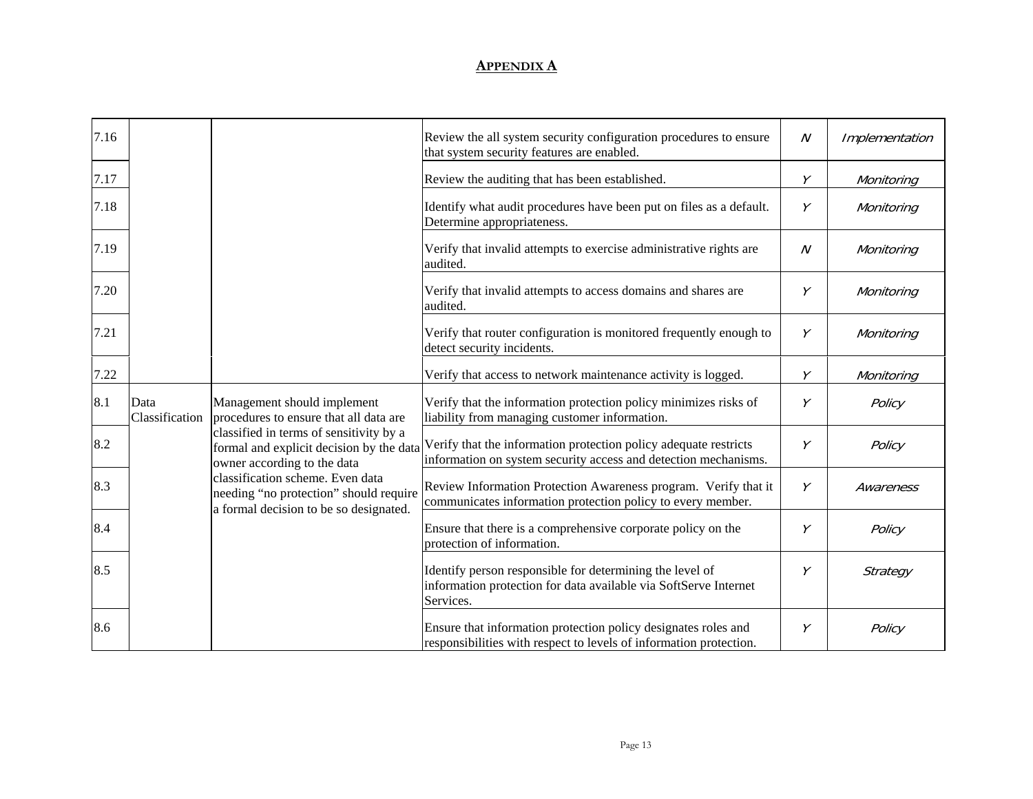| 7.16 |                                                                                                                      |                                                                                                                                           | Review the all system security configuration procedures to ensure<br>that system security features are enabled.                      | $\mathcal N$ | Implementation |
|------|----------------------------------------------------------------------------------------------------------------------|-------------------------------------------------------------------------------------------------------------------------------------------|--------------------------------------------------------------------------------------------------------------------------------------|--------------|----------------|
| 7.17 |                                                                                                                      |                                                                                                                                           | Review the auditing that has been established.                                                                                       | Y            | Monitoring     |
| 7.18 |                                                                                                                      |                                                                                                                                           | Identify what audit procedures have been put on files as a default.<br>Determine appropriateness.                                    | Υ            | Monitoring     |
| 7.19 |                                                                                                                      |                                                                                                                                           | Verify that invalid attempts to exercise administrative rights are<br>audited.                                                       | $\mathcal N$ | Monitoring     |
| 7.20 |                                                                                                                      |                                                                                                                                           | Verify that invalid attempts to access domains and shares are<br>audited.                                                            | Υ            | Monitoring     |
| 7.21 |                                                                                                                      |                                                                                                                                           | Verify that router configuration is monitored frequently enough to<br>detect security incidents.                                     | Υ            | Monitoring     |
| 7.22 |                                                                                                                      |                                                                                                                                           | Verify that access to network maintenance activity is logged.                                                                        | Υ            | Monitoring     |
| 8.1  | Data<br>Classification                                                                                               | Management should implement<br>procedures to ensure that all data are                                                                     | Verify that the information protection policy minimizes risks of<br>liability from managing customer information.                    | Υ            | Policy         |
| 8.2  |                                                                                                                      | classified in terms of sensitivity by a<br>formal and explicit decision by the data<br>owner according to the data                        | Verify that the information protection policy adequate restricts<br>information on system security access and detection mechanisms.  | Υ            | Policy         |
| 8.3  | classification scheme. Even data<br>needing "no protection" should require<br>a formal decision to be so designated. |                                                                                                                                           | Review Information Protection Awareness program. Verify that it<br>communicates information protection policy to every member.       | Υ            | Awareness      |
| 8.4  |                                                                                                                      | Ensure that there is a comprehensive corporate policy on the<br>protection of information.                                                | Υ                                                                                                                                    | Policy       |                |
| 8.5  |                                                                                                                      | Identify person responsible for determining the level of<br>information protection for data available via SoftServe Internet<br>Services. | Υ                                                                                                                                    | Strategy     |                |
| 8.6  |                                                                                                                      |                                                                                                                                           | Ensure that information protection policy designates roles and<br>responsibilities with respect to levels of information protection. | Υ            | Policy         |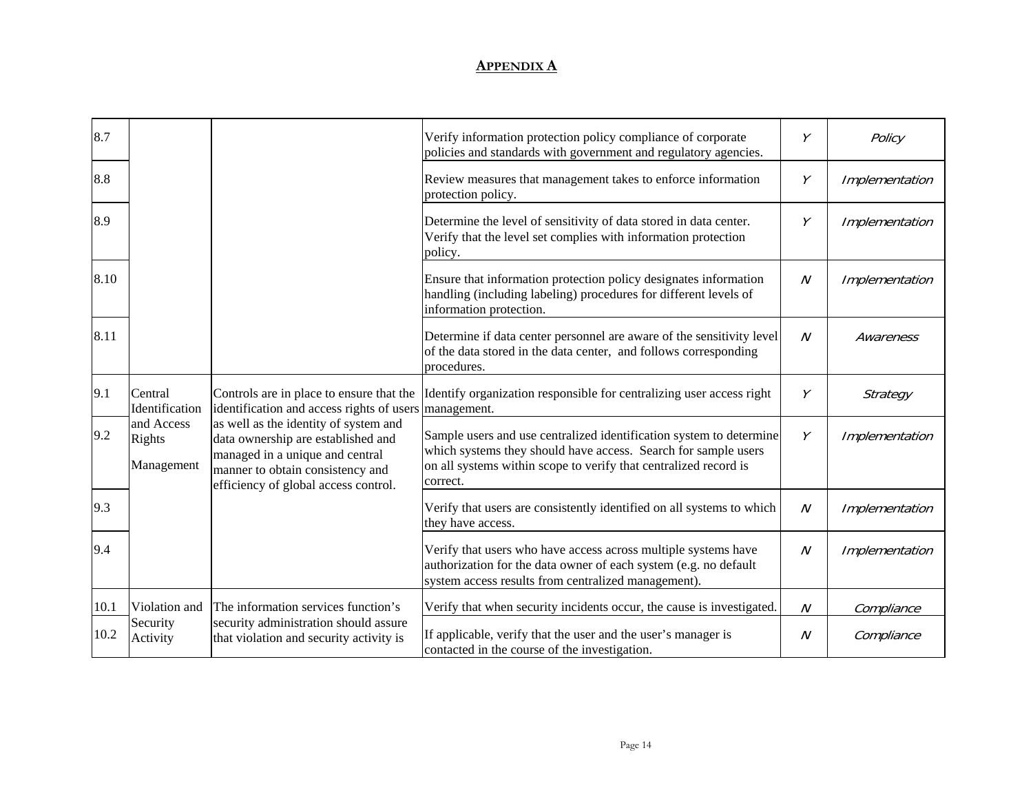| 8.7  |                                    |                                                                                                                                                                                            | Verify information protection policy compliance of corporate<br>policies and standards with government and regulatory agencies.                                                                                       | Υ                | Policy         |
|------|------------------------------------|--------------------------------------------------------------------------------------------------------------------------------------------------------------------------------------------|-----------------------------------------------------------------------------------------------------------------------------------------------------------------------------------------------------------------------|------------------|----------------|
| 8.8  |                                    |                                                                                                                                                                                            | Review measures that management takes to enforce information<br>protection policy.                                                                                                                                    | Y                | Implementation |
| 8.9  |                                    |                                                                                                                                                                                            | Determine the level of sensitivity of data stored in data center.<br>Verify that the level set complies with information protection<br>policy.                                                                        | Y                | Implementation |
| 8.10 |                                    |                                                                                                                                                                                            | Ensure that information protection policy designates information<br>handling (including labeling) procedures for different levels of<br>information protection.                                                       | $\boldsymbol{N}$ | Implementation |
| 8.11 |                                    |                                                                                                                                                                                            | Determine if data center personnel are aware of the sensitivity level<br>of the data stored in the data center, and follows corresponding<br>procedures.                                                              | $\cal N$         | Awareness      |
| 9.1  | Central<br>Identification          | Controls are in place to ensure that the<br>identification and access rights of users                                                                                                      | Identify organization responsible for centralizing user access right<br>management.                                                                                                                                   | Y                | Strategy       |
| 9.2  | and Access<br>Rights<br>Management | as well as the identity of system and<br>data ownership are established and<br>managed in a unique and central<br>manner to obtain consistency and<br>efficiency of global access control. | Sample users and use centralized identification system to determine<br>which systems they should have access. Search for sample users<br>on all systems within scope to verify that centralized record is<br>correct. | $\gamma$         | Implementation |
| 9.3  |                                    |                                                                                                                                                                                            | Verify that users are consistently identified on all systems to which<br>they have access.                                                                                                                            | $\overline{N}$   | Implementation |
| 9.4  |                                    |                                                                                                                                                                                            | Verify that users who have access across multiple systems have<br>authorization for the data owner of each system (e.g. no default<br>system access results from centralized management).                             | $\boldsymbol{N}$ | Implementation |
| 10.1 | Violation and                      | The information services function's                                                                                                                                                        | Verify that when security incidents occur, the cause is investigated.                                                                                                                                                 | $\cal N$         | Compliance     |
| 10.2 | Security<br>Activity               | security administration should assure<br>that violation and security activity is                                                                                                           | If applicable, verify that the user and the user's manager is<br>contacted in the course of the investigation.                                                                                                        | $\mathcal N$     | Compliance     |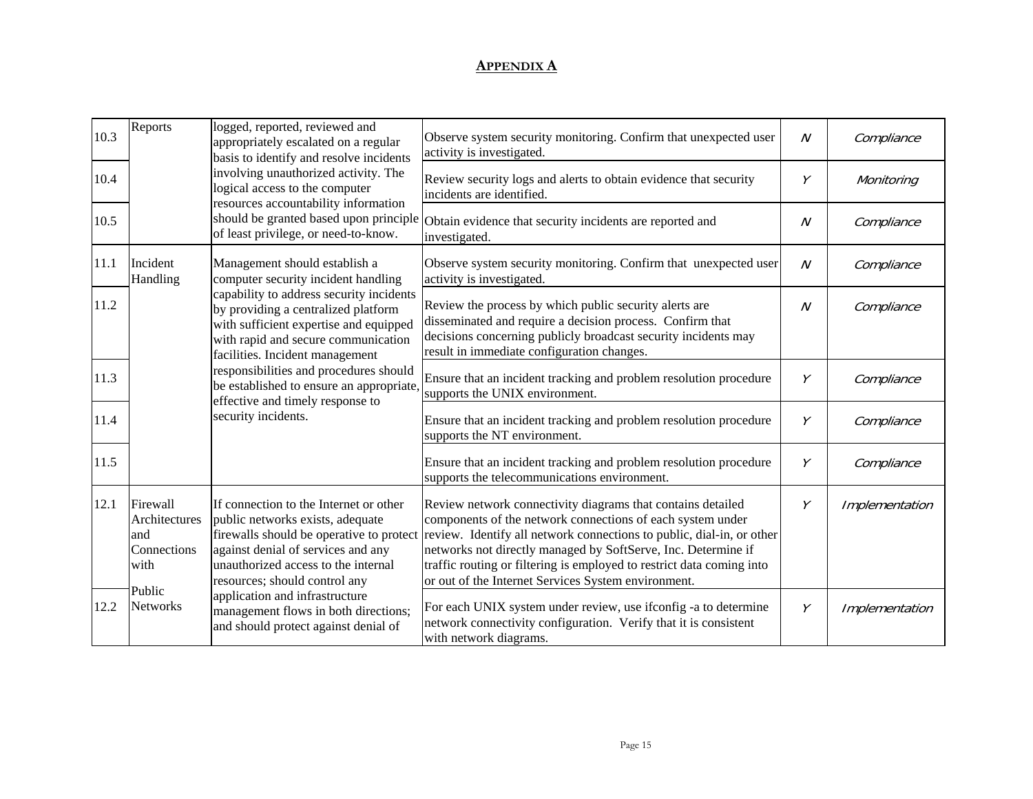| 10.3 | Reports                                                 | logged, reported, reviewed and<br>appropriately escalated on a regular<br>basis to identify and resolve incidents                                                                                                                                                                                                                                                                                                            | Observe system security monitoring. Confirm that unexpected user<br>activity is investigated.                                                                                                                                                                                                                                                                                                       | $\mathcal N$   | Compliance     |
|------|---------------------------------------------------------|------------------------------------------------------------------------------------------------------------------------------------------------------------------------------------------------------------------------------------------------------------------------------------------------------------------------------------------------------------------------------------------------------------------------------|-----------------------------------------------------------------------------------------------------------------------------------------------------------------------------------------------------------------------------------------------------------------------------------------------------------------------------------------------------------------------------------------------------|----------------|----------------|
| 10.4 |                                                         | involving unauthorized activity. The<br>logical access to the computer<br>resources accountability information<br>should be granted based upon principle<br>of least privilege, or need-to-know.                                                                                                                                                                                                                             | Review security logs and alerts to obtain evidence that security<br>incidents are identified.                                                                                                                                                                                                                                                                                                       | Y              | Monitoring     |
| 10.5 |                                                         |                                                                                                                                                                                                                                                                                                                                                                                                                              | Obtain evidence that security incidents are reported and<br>investigated.                                                                                                                                                                                                                                                                                                                           | $\overline{N}$ | Compliance     |
| 11.1 | Incident<br>Handling                                    | Management should establish a<br>computer security incident handling<br>capability to address security incidents<br>by providing a centralized platform<br>with sufficient expertise and equipped<br>with rapid and secure communication<br>facilities. Incident management<br>responsibilities and procedures should<br>be established to ensure an appropriate,<br>effective and timely response to<br>security incidents. | Observe system security monitoring. Confirm that unexpected user<br>activity is investigated.                                                                                                                                                                                                                                                                                                       | $\overline{N}$ | Compliance     |
| 11.2 |                                                         |                                                                                                                                                                                                                                                                                                                                                                                                                              | Review the process by which public security alerts are<br>disseminated and require a decision process. Confirm that<br>decisions concerning publicly broadcast security incidents may<br>result in immediate configuration changes.                                                                                                                                                                 | $\overline{N}$ | Compliance     |
| 11.3 |                                                         |                                                                                                                                                                                                                                                                                                                                                                                                                              | Ensure that an incident tracking and problem resolution procedure<br>supports the UNIX environment.                                                                                                                                                                                                                                                                                                 | Υ              | Compliance     |
| 11.4 |                                                         |                                                                                                                                                                                                                                                                                                                                                                                                                              | Ensure that an incident tracking and problem resolution procedure<br>supports the NT environment.                                                                                                                                                                                                                                                                                                   | Υ              | Compliance     |
| 11.5 |                                                         |                                                                                                                                                                                                                                                                                                                                                                                                                              | Ensure that an incident tracking and problem resolution procedure<br>supports the telecommunications environment.                                                                                                                                                                                                                                                                                   | Y              | Compliance     |
| 12.1 | Firewall<br>Architectures<br>and<br>Connections<br>with | If connection to the Internet or other<br>public networks exists, adequate<br>firewalls should be operative to protect<br>against denial of services and any<br>unauthorized access to the internal<br>resources; should control any                                                                                                                                                                                         | Review network connectivity diagrams that contains detailed<br>components of the network connections of each system under<br>review. Identify all network connections to public, dial-in, or other<br>networks not directly managed by SoftServe, Inc. Determine if<br>traffic routing or filtering is employed to restrict data coming into<br>or out of the Internet Services System environment. | Y              | Implementation |
| 12.2 | Public<br><b>Networks</b>                               | application and infrastructure<br>management flows in both directions;<br>and should protect against denial of                                                                                                                                                                                                                                                                                                               | For each UNIX system under review, use ifconfig -a to determine<br>network connectivity configuration. Verify that it is consistent<br>with network diagrams.                                                                                                                                                                                                                                       | Υ              | Implementation |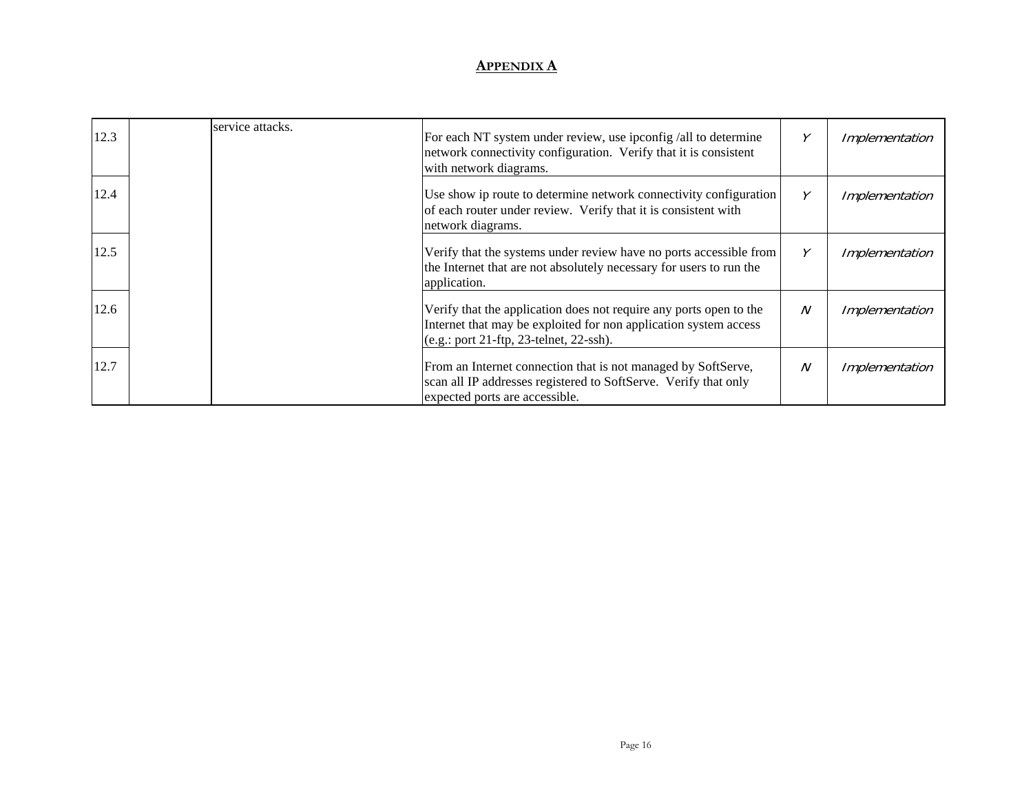| 12.3 | service attacks. | For each NT system under review, use ipconfig /all to determine<br>network connectivity configuration. Verify that it is consistent<br>with network diagrams.                       |   | Implementation |
|------|------------------|-------------------------------------------------------------------------------------------------------------------------------------------------------------------------------------|---|----------------|
| 12.4 |                  | Use show ip route to determine network connectivity configuration<br>of each router under review. Verify that it is consistent with<br>network diagrams.                            | γ | Implementation |
| 12.5 |                  | Verify that the systems under review have no ports accessible from<br>the Internet that are not absolutely necessary for users to run the<br>application.                           |   | Implementation |
| 12.6 |                  | Verify that the application does not require any ports open to the<br>Internet that may be exploited for non application system access<br>$(e.g.:$ port 21-ftp, 23-telnet, 22-ssh). | N | Implementation |
| 12.7 |                  | From an Internet connection that is not managed by SoftServe,<br>scan all IP addresses registered to SoftServe. Verify that only<br>expected ports are accessible.                  | N | Implementation |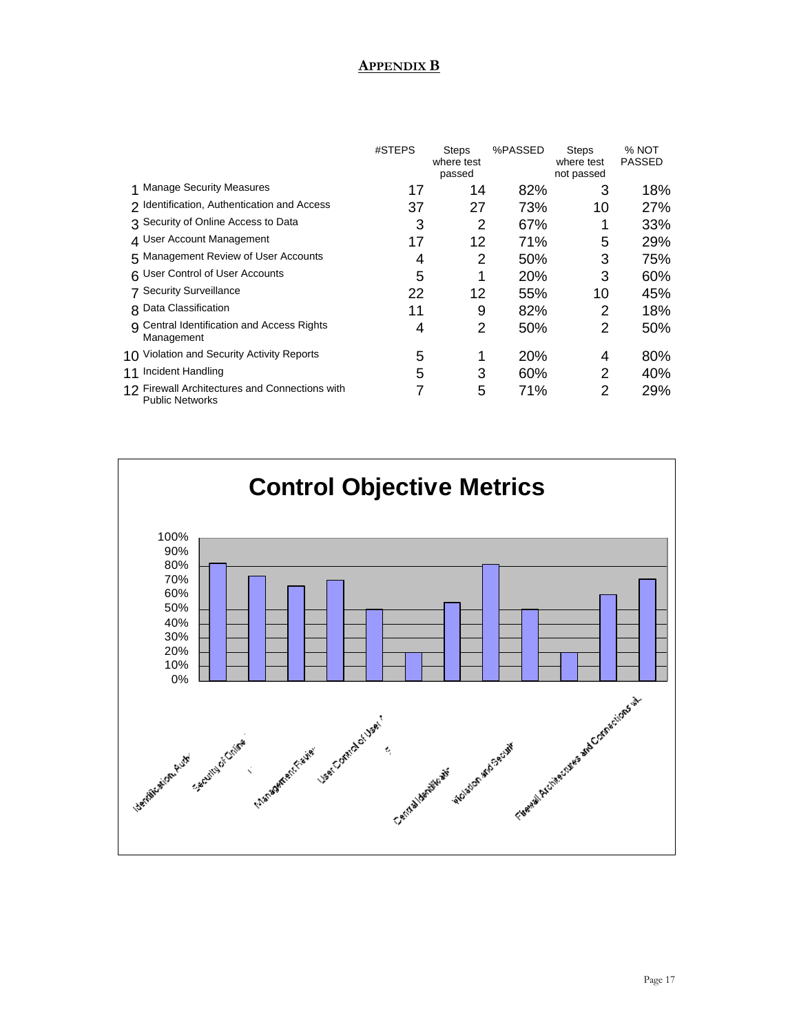# **APPENDIX B**

|                                                                          | #STEPS | <b>Steps</b><br>where test<br>passed | %PASSED | <b>Steps</b><br>where test<br>not passed | % NOT<br><b>PASSED</b> |
|--------------------------------------------------------------------------|--------|--------------------------------------|---------|------------------------------------------|------------------------|
| <b>Manage Security Measures</b>                                          | 17     | 14                                   | 82%     | 3                                        | 18%                    |
| 2 Identification, Authentication and Access                              | 37     | 27                                   | 73%     | 10                                       | 27%                    |
| 3 Security of Online Access to Data                                      | 3      | 2                                    | 67%     |                                          | 33%                    |
| 4 User Account Management                                                | 17     | 12                                   | 71%     | 5                                        | 29%                    |
| 5 Management Review of User Accounts                                     | 4      | 2                                    | 50%     | 3                                        | 75%                    |
| 6 User Control of User Accounts                                          | 5      | 1                                    | 20%     | 3                                        | 60%                    |
| 7 Security Surveillance                                                  | 22     | 12                                   | 55%     | 10                                       | 45%                    |
| 8 Data Classification                                                    | 11     | 9                                    | 82%     | 2                                        | 18%                    |
| <b>9</b> Central Identification and Access Rights<br>Management          | 4      | 2                                    | 50%     | 2                                        | 50%                    |
| 10 Violation and Security Activity Reports                               | 5      | 1                                    | 20%     | 4                                        | 80%                    |
| 11 Incident Handling                                                     | 5      | 3                                    | 60%     | 2                                        | 40%                    |
| 12 Firewall Architectures and Connections with<br><b>Public Networks</b> |        | 5                                    | 71%     | 2                                        | 29%                    |